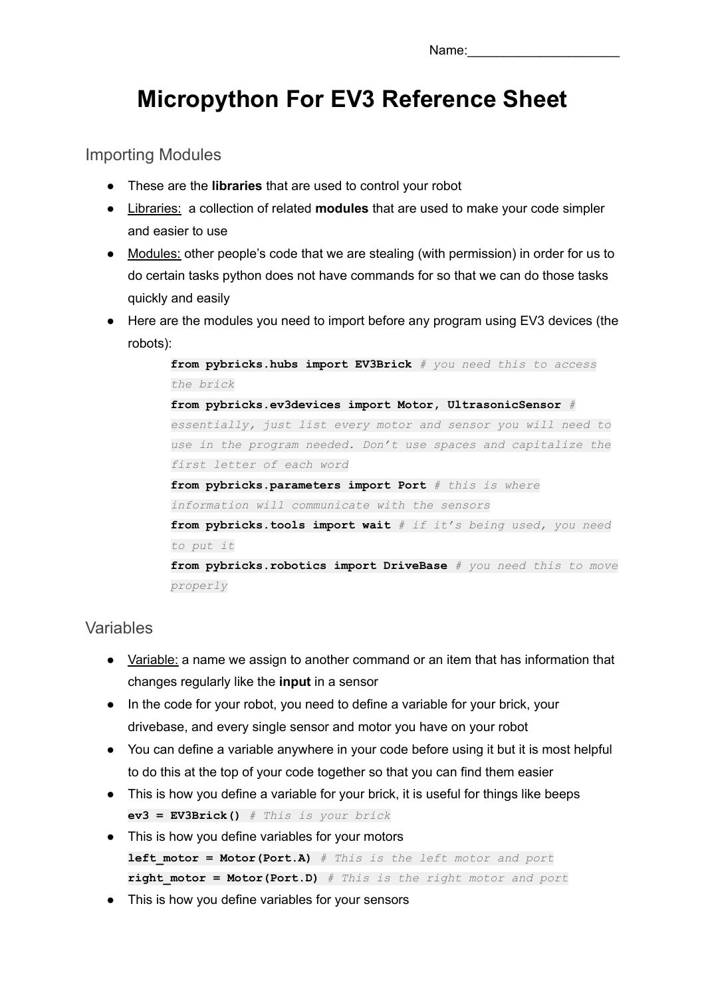# **Micropython For EV3 Reference Sheet**

Importing Modules

- These are the **libraries** that are used to control your robot
- Libraries: a collection of related **modules** that are used to make your code simpler and easier to use
- Modules: other people's code that we are stealing (with permission) in order for us to do certain tasks python does not have commands for so that we can do those tasks quickly and easily
- Here are the modules you need to import before any program using EV3 devices (the robots):

**from pybricks.hubs import EV3Brick** *# you need this to access the brick* **from pybricks.ev3devices import Motor, UltrasonicSensor** *# essentially, just list every motor and sensor you will need to use in the program needed. Don't use spaces and capitalize the first letter of each word* **from pybricks.parameters import Port** *# this is where information will communicate with the sensors* **from pybricks.tools import wait** *# if it's being used, you need to put it* **from pybricks.robotics import DriveBase** *# you need this to move properly*

# Variables

- Variable: a name we assign to another command or an item that has information that changes regularly like the **input** in a sensor
- In the code for your robot, you need to define a variable for your brick, your drivebase, and every single sensor and motor you have on your robot
- You can define a variable anywhere in your code before using it but it is most helpful to do this at the top of your code together so that you can find them easier
- This is how you define a variable for your brick, it is useful for things like beeps **ev3 = EV3Brick()** *# This is your brick*
- This is how you define variables for your motors **left\_motor = Motor(Port.A)** *# This is the left motor and port* **right\_motor = Motor(Port.D)** *# This is the right motor and port*
- This is how you define variables for your sensors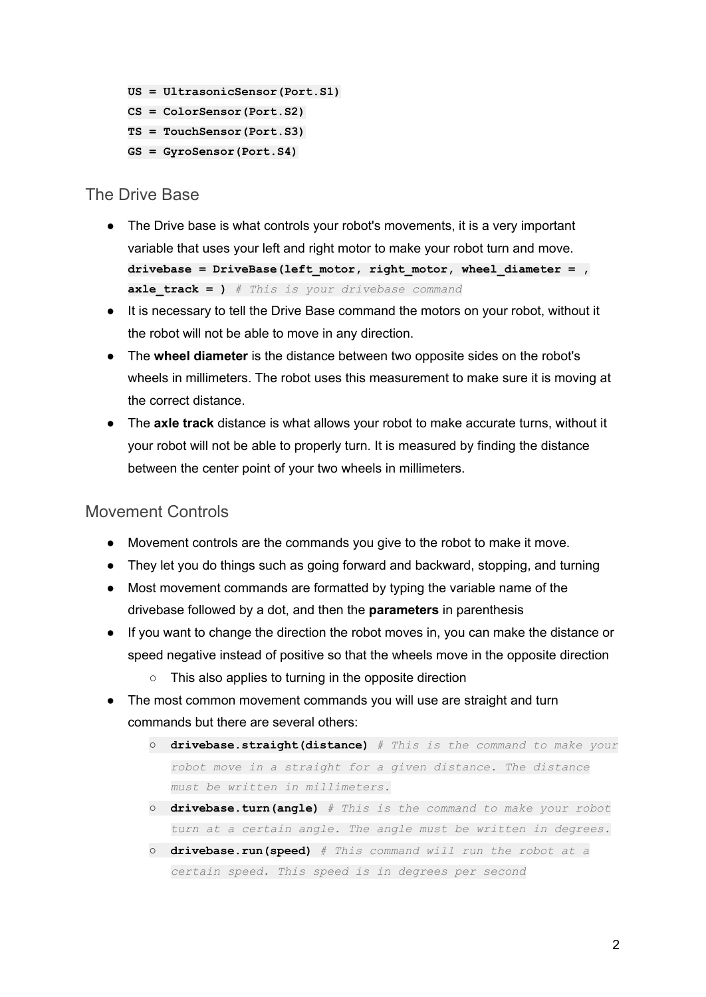```
US = UltrasonicSensor(Port.S1)
CS = ColorSensor(Port.S2)
TS = TouchSensor(Port.S3)
GS = GyroSensor(Port.S4)
```
# The Drive Base

- The Drive base is what controls your robot's movements, it is a very important variable that uses your left and right motor to make your robot turn and move. **drivebase = DriveBase(left\_motor, right\_motor, wheel\_diameter = , axle\_track = )** *# This is your drivebase command*
- It is necessary to tell the Drive Base command the motors on your robot, without it the robot will not be able to move in any direction.
- The **wheel diameter** is the distance between two opposite sides on the robot's wheels in millimeters. The robot uses this measurement to make sure it is moving at the correct distance.
- The **axle track** distance is what allows your robot to make accurate turns, without it your robot will not be able to properly turn. It is measured by finding the distance between the center point of your two wheels in millimeters.

# Movement Controls

- Movement controls are the commands you give to the robot to make it move.
- They let you do things such as going forward and backward, stopping, and turning
- Most movement commands are formatted by typing the variable name of the drivebase followed by a dot, and then the **parameters** in parenthesis
- If you want to change the direction the robot moves in, you can make the distance or speed negative instead of positive so that the wheels move in the opposite direction
	- This also applies to turning in the opposite direction
- The most common movement commands you will use are straight and turn commands but there are several others:
	- **drivebase.straight(distance)** *# This is the command to make your robot move in a straight for a given distance. The distance must be written in millimeters.*
	- **drivebase.turn(angle)** *# This is the command to make your robot turn at a certain angle. The angle must be written in degrees.*
	- **drivebase.run(speed)** *# This command will run the robot at a certain speed. This speed is in degrees per second*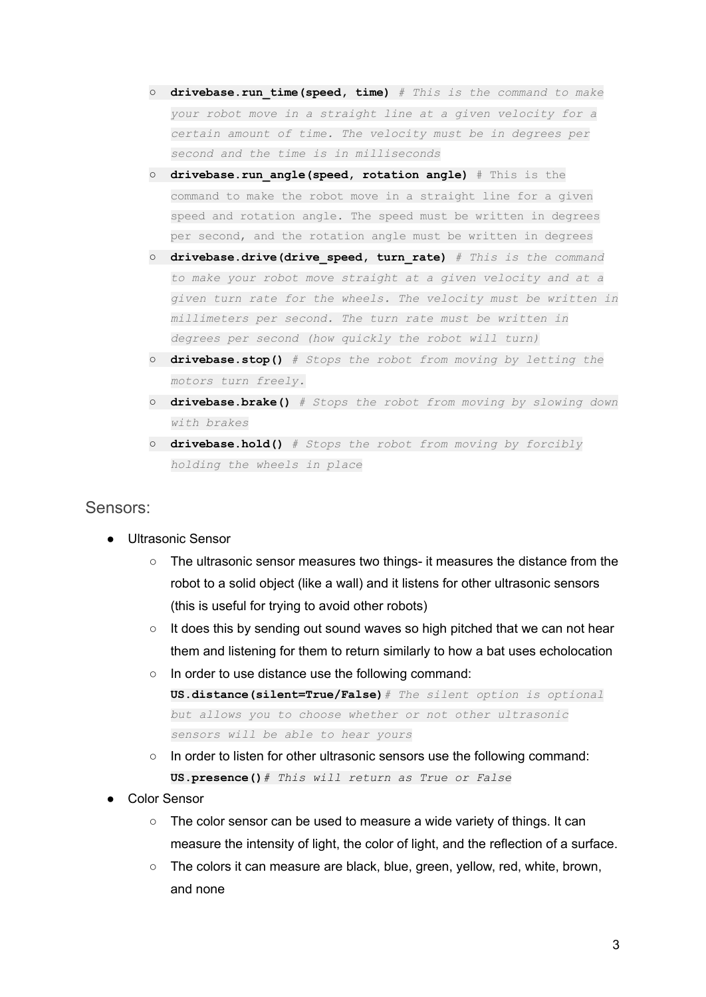- **drivebase.run\_time(speed, time)** *# This is the command to make your robot move in a straight line at a given velocity for a certain amount of time. The velocity must be in degrees per second and the time is in milliseconds*
- **drivebase.run\_angle(speed, rotation angle)** # This is the command to make the robot move in a straight line for a given speed and rotation angle. The speed must be written in degrees per second, and the rotation angle must be written in degrees
- **drivebase.drive(drive\_speed, turn\_rate)** *# This is the command to make your robot move straight at a given velocity and at a given turn rate for the wheels. The velocity must be written in millimeters per second. The turn rate must be written in degrees per second (how quickly the robot will turn)*
- **drivebase.stop()** *# Stops the robot from moving by letting the motors turn freely.*
- **drivebase.brake()** *# Stops the robot from moving by slowing down with brakes*
- **drivebase.hold()** *# Stops the robot from moving by forcibly holding the wheels in place*

## Sensors:

- **Ultrasonic Sensor** 
	- The ultrasonic sensor measures two things- it measures the distance from the robot to a solid object (like a wall) and it listens for other ultrasonic sensors (this is useful for trying to avoid other robots)
	- It does this by sending out sound waves so high pitched that we can not hear them and listening for them to return similarly to how a bat uses echolocation
	- In order to use distance use the following command: **US.distance(silent=True/False)***# The silent option is optional but allows you to choose whether or not other ultrasonic sensors will be able to hear yours*
	- In order to listen for other ultrasonic sensors use the following command: **US.presence()***# This will return as True or False*
- Color Sensor
	- The color sensor can be used to measure a wide variety of things. It can measure the intensity of light, the color of light, and the reflection of a surface.
	- $\circ$  The colors it can measure are black, blue, green, yellow, red, white, brown, and none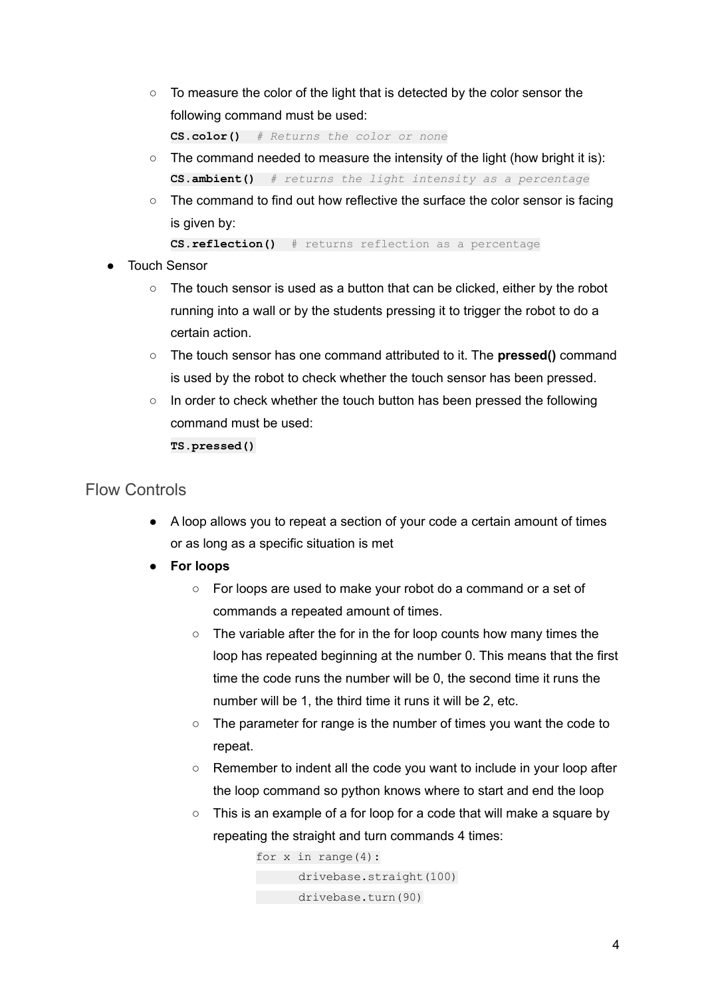$\circ$  To measure the color of the light that is detected by the color sensor the following command must be used:

**CS.color()** *# Returns the color or none*

- $\circ$  The command needed to measure the intensity of the light (how bright it is): **CS.ambient()** *# returns the light intensity as a percentage*
- The command to find out how reflective the surface the color sensor is facing is given by:

**CS.reflection()** # returns reflection as a percentage

- **Touch Sensor** 
	- $\circ$  The touch sensor is used as a button that can be clicked, either by the robot running into a wall or by the students pressing it to trigger the robot to do a certain action.
	- The touch sensor has one command attributed to it. The **pressed()** command is used by the robot to check whether the touch sensor has been pressed.
	- $\circ$  In order to check whether the touch button has been pressed the following command must be used:

**TS.pressed()**

## Flow Controls

- A loop allows you to repeat a section of your code a certain amount of times or as long as a specific situation is met
- **● For loops**
	- For loops are used to make your robot do a command or a set of commands a repeated amount of times.
	- The variable after the for in the for loop counts how many times the loop has repeated beginning at the number 0. This means that the first time the code runs the number will be 0, the second time it runs the number will be 1, the third time it runs it will be 2, etc.
	- The parameter for range is the number of times you want the code to repeat.
	- Remember to indent all the code you want to include in your loop after the loop command so python knows where to start and end the loop
	- This is an example of a for loop for a code that will make a square by repeating the straight and turn commands 4 times:

for  $x$  in range(4): drivebase.straight(100) drivebase.turn(90)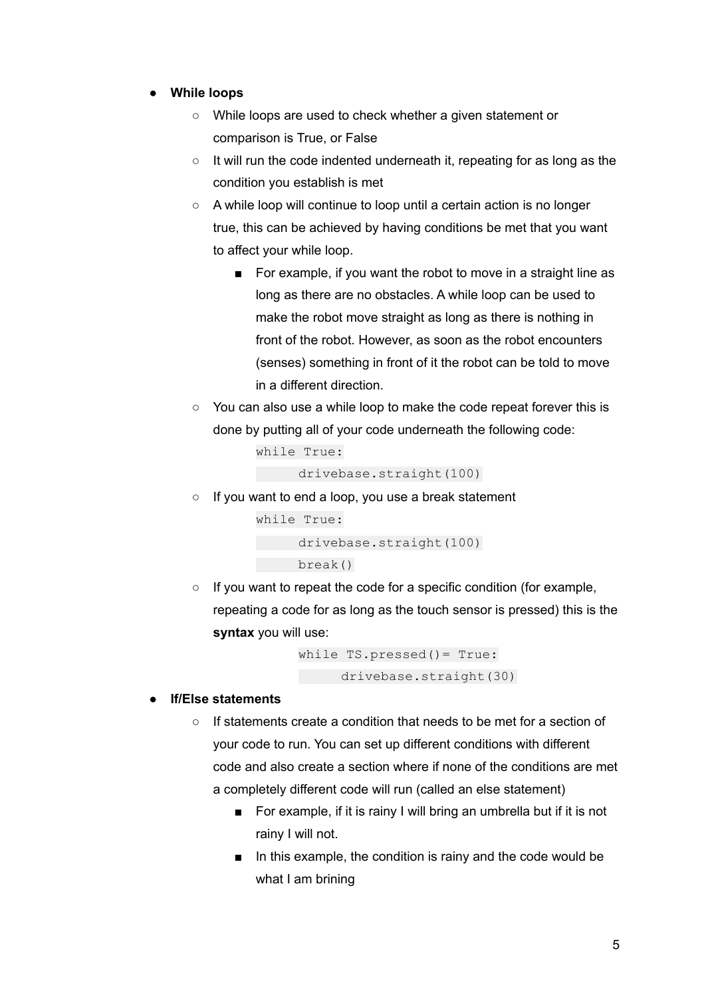#### **● While loops**

- While loops are used to check whether a given statement or comparison is True, or False
- It will run the code indented underneath it, repeating for as long as the condition you establish is met
- A while loop will continue to loop until a certain action is no longer true, this can be achieved by having conditions be met that you want to affect your while loop.
	- For example, if you want the robot to move in a straight line as long as there are no obstacles. A while loop can be used to make the robot move straight as long as there is nothing in front of the robot. However, as soon as the robot encounters (senses) something in front of it the robot can be told to move in a different direction.
- You can also use a while loop to make the code repeat forever this is done by putting all of your code underneath the following code:

```
while True:
drivebase.straight(100)
```
○ If you want to end a loop, you use a break statement

```
while True:
  drivebase.straight(100)
    break()
```
○ If you want to repeat the code for a specific condition (for example, repeating a code for as long as the touch sensor is pressed) this is the **syntax** you will use:

```
while TS.pressed()= True:
    drivebase.straight(30)
```
#### **● If/Else statements**

- $\circ$  If statements create a condition that needs to be met for a section of your code to run. You can set up different conditions with different code and also create a section where if none of the conditions are met a completely different code will run (called an else statement)
	- For example, if it is rainy I will bring an umbrella but if it is not rainy I will not.
	- In this example, the condition is rainy and the code would be what I am brining